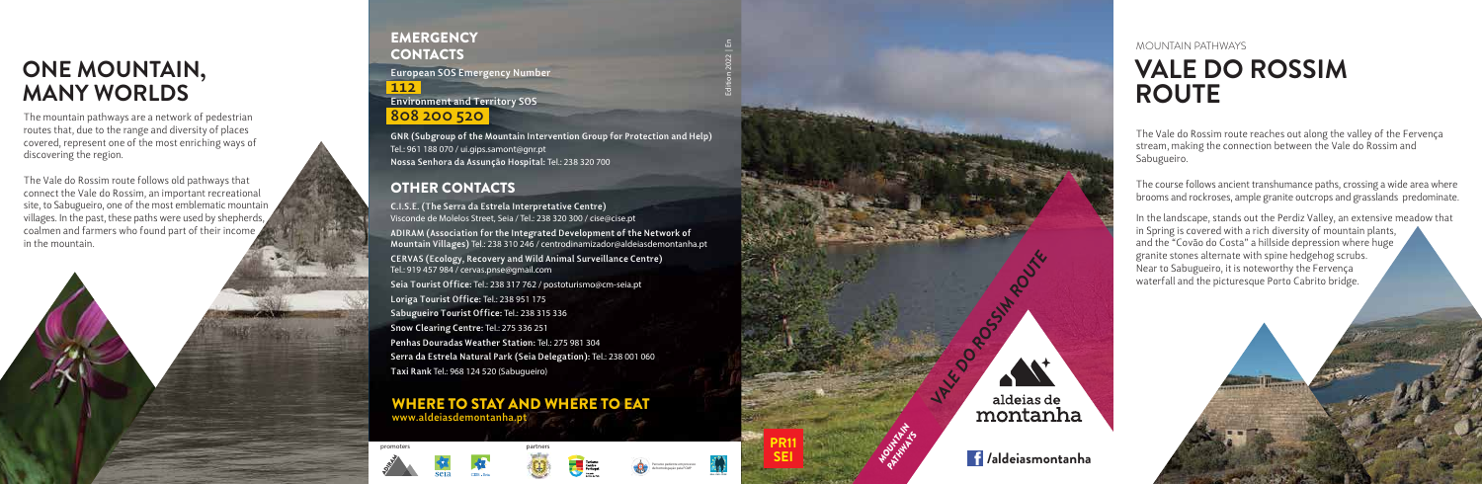WHERE TO STAY AND WHERE TO EAT **www.aldeiasdemontanha.pt**



The Vale do Rossim route reaches out along the valley of the Fervença stream, making the connection between the Vale do Rossim and Sabugueiro.

The course follows ancient transhumance paths, crossing a wide area where brooms and rockroses, ample granite outcrops and grasslands predominate.

# **VALE DO ROSSIM ROUTE** MOUNTAIN PATHWAYS

In the landscape, stands out the Perdiz Valley, an extensive meadow that in Spring is covered with a rich diversity of mountain plants, and the "Covão do Costa" a hillside depression where huge granite stones alternate with spine hedgehog scrubs *.* Near to Sabugueiro, it is noteworthy the Fervença waterfall and the picturesque Porto Cabrito bridge.

The mountain pathways are a network of pedestrian routes that, due to the range and diversity of places covered, represent one of the most enriching ways of discovering the region.

#### **EMERGENCY CONTACTS European SOS Emergency Number**

The Vale do Rossim route follows old pathways that connect the Vale do Rossim, an important recreational site, to Sabugueiro, one of the most emblematic mountain villages. In the past, these paths were used by shepherds, coalmen and farmers who found part of their income in the mountain.





# **ONE MOUNTAIN, MANY WORLDS**

**C.I.S.E. (The Serra da Estrela Interpretative Centre)** Visconde de Molelos Street, Seia / Tel.: 238 320 300 / cise@cise.pt **ADIRAM (Association for the Integrated Development of the Network of Mountain Villages)** Tel.: 238 310 246 / centrodinamizador@aldeiasdemontanha.pt **CERVAS (Ecology, Recovery and Wild Animal Surveillance Centre)** Tel.: 919 457 984 / cervas.pnse@gmail.com **Seia Tourist Office:** Tel.: 238 317 762 / postoturismo@cm-seia.pt **Loriga Tourist Office:** Tel.: 238 951 175 **Sabugueiro Tourist Office:** Tel.: 238 315 336 **Snow Clearing Centre:** Tel.: 275 336 251 **Penhas Douradas Weather Station:** Tel.: 275 981 304 **Serra da Estrela Natural Park (Seia Delegation):** Tel.: 238 001 060 **Taxi Rank** Tel.: 968 124 520 (Sabugueiro)

### OTHER CONTACTS

promoters

**112 Environment and Territory SOS 808 200 520**

**GNR (Subgroup of the Mountain Intervention Group for Protection and Help)** Tel.: 961 188 070 / ui.gips.samont@gnr.pt **Nossa Senhora da Assunção Hospital:** Tel.: 238 320 700